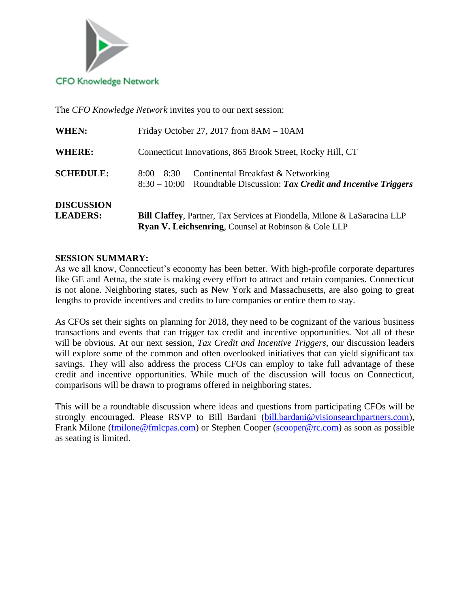

The *CFO Knowledge Network* invites you to our next session:

| <b>WHERE:</b><br>Connecticut Innovations, 865 Brook Street, Rocky Hill, CT<br><b>SCHEDULE:</b><br>Continental Breakfast & Networking<br>$8:00 - 8:30$<br><b>DISCUSSION</b><br><b>LEADERS:</b> |       | <b>Ryan V. Leichsenring, Counsel at Robinson &amp; Cole LLP</b>                      |
|-----------------------------------------------------------------------------------------------------------------------------------------------------------------------------------------------|-------|--------------------------------------------------------------------------------------|
|                                                                                                                                                                                               |       | <b>Bill Claffey, Partner, Tax Services at Fiondella, Milone &amp; LaSaracina LLP</b> |
|                                                                                                                                                                                               |       |                                                                                      |
|                                                                                                                                                                                               |       | $8:30-10:00$ Roundtable Discussion: Tax Credit and Incentive Triggers                |
|                                                                                                                                                                                               |       |                                                                                      |
|                                                                                                                                                                                               | WHEN: | Friday October 27, 2017 from $8AM - 10AM$                                            |

#### **SESSION SUMMARY:**

As we all know, Connecticut's economy has been better. With high-profile corporate departures like GE and Aetna, the state is making every effort to attract and retain companies. Connecticut is not alone. Neighboring states, such as New York and Massachusetts, are also going to great lengths to provide incentives and credits to lure companies or entice them to stay.

As CFOs set their sights on planning for 2018, they need to be cognizant of the various business transactions and events that can trigger tax credit and incentive opportunities. Not all of these will be obvious. At our next session, *Tax Credit and Incentive Triggers*, our discussion leaders will explore some of the common and often overlooked initiatives that can yield significant tax savings. They will also address the process CFOs can employ to take full advantage of these credit and incentive opportunities. While much of the discussion will focus on Connecticut, comparisons will be drawn to programs offered in neighboring states.

This will be a roundtable discussion where ideas and questions from participating CFOs will be strongly encouraged. Please RSVP to Bill Bardani [\(bill.bardani@visionsearchpartners.com\)](mailto:bill.bardani@visionsearchpartners.com), Frank Milone [\(fmilone@fmlcpas.com\)](mailto:fmilone@fmlcpas.com) or Stephen Cooper [\(scooper@rc.com\)](mailto:scooper@rc.com) as soon as possible as seating is limited.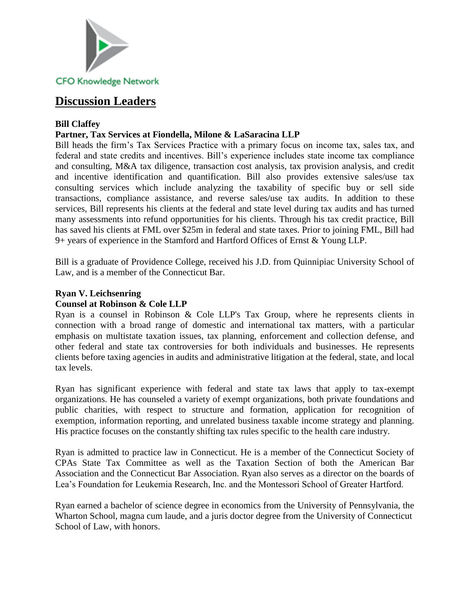

# **Discussion Leaders**

#### **Bill Claffey**

### **Partner, Tax Services at Fiondella, Milone & LaSaracina LLP**

Bill heads the firm's Tax Services Practice with a primary focus on income tax, sales tax, and federal and state credits and incentives. Bill's experience includes state income tax compliance and consulting, M&A tax diligence, transaction cost analysis, tax provision analysis, and credit and incentive identification and quantification. Bill also provides extensive sales/use tax consulting services which include analyzing the taxability of specific buy or sell side transactions, compliance assistance, and reverse sales/use tax audits. In addition to these services, Bill represents his clients at the federal and state level during tax audits and has turned many assessments into refund opportunities for his clients. Through his tax credit practice, Bill has saved his clients at FML over \$25m in federal and state taxes. Prior to joining FML, Bill had 9+ years of experience in the Stamford and Hartford Offices of Ernst & Young LLP.

Bill is a graduate of Providence College, received his J.D. from Quinnipiac University School of Law, and is a member of the Connecticut Bar.

#### **Ryan V. Leichsenring Counsel at Robinson & Cole LLP**

Ryan is a counsel in Robinson & Cole LLP's Tax Group, where he represents clients in connection with a broad range of domestic and international tax matters, with a particular emphasis on multistate taxation issues, tax planning, enforcement and collection defense, and other federal and state tax controversies for both individuals and businesses. He represents clients before taxing agencies in audits and administrative litigation at the federal, state, and local tax levels.

Ryan has significant experience with federal and state tax laws that apply to tax-exempt organizations. He has counseled a variety of exempt organizations, both private foundations and public charities, with respect to structure and formation, application for recognition of exemption, information reporting, and unrelated business taxable income strategy and planning. His practice focuses on the constantly shifting tax rules specific to the health care industry.

Ryan is admitted to practice law in Connecticut. He is a member of the Connecticut Society of CPAs State Tax Committee as well as the Taxation Section of both the American Bar Association and the Connecticut Bar Association. Ryan also serves as a director on the boards of Lea's Foundation for Leukemia Research, Inc. and the Montessori School of Greater Hartford.

Ryan earned a bachelor of science degree in economics from the University of Pennsylvania, the Wharton School, magna cum laude, and a juris doctor degree from the University of Connecticut School of Law, with honors.